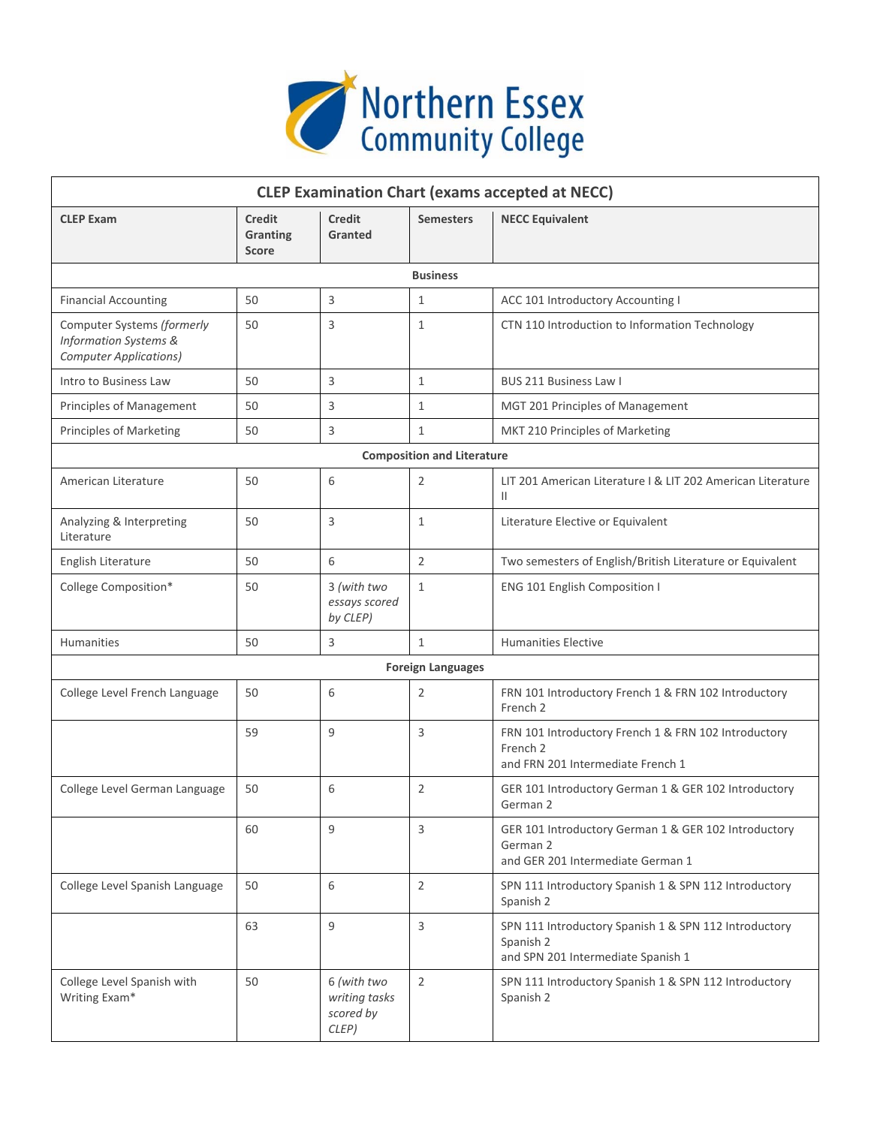

| <b>CLEP Examination Chart (exams accepted at NECC)</b>                                          |                                           |                                                    |                                   |                                                                                                                  |  |  |  |
|-------------------------------------------------------------------------------------------------|-------------------------------------------|----------------------------------------------------|-----------------------------------|------------------------------------------------------------------------------------------------------------------|--|--|--|
| <b>CLEP Exam</b>                                                                                | <b>Credit</b><br>Granting<br><b>Score</b> | <b>Credit</b><br><b>Granted</b>                    | <b>Semesters</b>                  | <b>NECC Equivalent</b>                                                                                           |  |  |  |
| <b>Business</b>                                                                                 |                                           |                                                    |                                   |                                                                                                                  |  |  |  |
| <b>Financial Accounting</b>                                                                     | 50                                        | 3                                                  | $\mathbf{1}$                      | ACC 101 Introductory Accounting I                                                                                |  |  |  |
| Computer Systems (formerly<br><b>Information Systems &amp;</b><br><b>Computer Applications)</b> | 50                                        | 3                                                  | $\mathbf{1}$                      | CTN 110 Introduction to Information Technology                                                                   |  |  |  |
| Intro to Business Law                                                                           | 50                                        | 3                                                  | $\mathbf{1}$                      | BUS 211 Business Law I                                                                                           |  |  |  |
| Principles of Management                                                                        | 50                                        | 3                                                  | $\mathbf{1}$                      | MGT 201 Principles of Management                                                                                 |  |  |  |
| Principles of Marketing                                                                         | 50                                        | 3                                                  | $\mathbf{1}$                      | MKT 210 Principles of Marketing                                                                                  |  |  |  |
|                                                                                                 |                                           |                                                    | <b>Composition and Literature</b> |                                                                                                                  |  |  |  |
| American Literature                                                                             | 50                                        | 6                                                  | $\overline{2}$                    | LIT 201 American Literature   & LIT 202 American Literature<br>$\mathbf{H}$                                      |  |  |  |
| Analyzing & Interpreting<br>Literature                                                          | 50                                        | 3                                                  | $\mathbf{1}$                      | Literature Elective or Equivalent                                                                                |  |  |  |
| English Literature                                                                              | 50                                        | 6                                                  | 2                                 | Two semesters of English/British Literature or Equivalent                                                        |  |  |  |
| College Composition*                                                                            | 50                                        | 3 (with two<br>essays scored<br>by CLEP)           | $\mathbf{1}$                      | <b>ENG 101 English Composition I</b>                                                                             |  |  |  |
| <b>Humanities</b>                                                                               | 50                                        | 3                                                  | $\mathbf{1}$                      | <b>Humanities Elective</b>                                                                                       |  |  |  |
|                                                                                                 |                                           |                                                    | <b>Foreign Languages</b>          |                                                                                                                  |  |  |  |
| College Level French Language                                                                   | 50                                        | 6                                                  | 2                                 | FRN 101 Introductory French 1 & FRN 102 Introductory<br>French <sub>2</sub>                                      |  |  |  |
|                                                                                                 | 59                                        | 9                                                  | 3                                 | FRN 101 Introductory French 1 & FRN 102 Introductory<br>French <sub>2</sub><br>and FRN 201 Intermediate French 1 |  |  |  |
| College Level German Language                                                                   | 50                                        | 6                                                  | 2                                 | GER 101 Introductory German 1 & GER 102 Introductory<br>German 2                                                 |  |  |  |
|                                                                                                 | 60                                        | 9                                                  | 3                                 | GER 101 Introductory German 1 & GER 102 Introductory<br>German 2<br>and GER 201 Intermediate German 1            |  |  |  |
| College Level Spanish Language                                                                  | 50                                        | 6                                                  | 2                                 | SPN 111 Introductory Spanish 1 & SPN 112 Introductory<br>Spanish 2                                               |  |  |  |
|                                                                                                 | 63                                        | $\mathsf 9$                                        | 3                                 | SPN 111 Introductory Spanish 1 & SPN 112 Introductory<br>Spanish 2<br>and SPN 201 Intermediate Spanish 1         |  |  |  |
| College Level Spanish with<br>Writing Exam*                                                     | 50                                        | 6 (with two<br>writing tasks<br>scored by<br>CLEP) | $\overline{2}$                    | SPN 111 Introductory Spanish 1 & SPN 112 Introductory<br>Spanish 2                                               |  |  |  |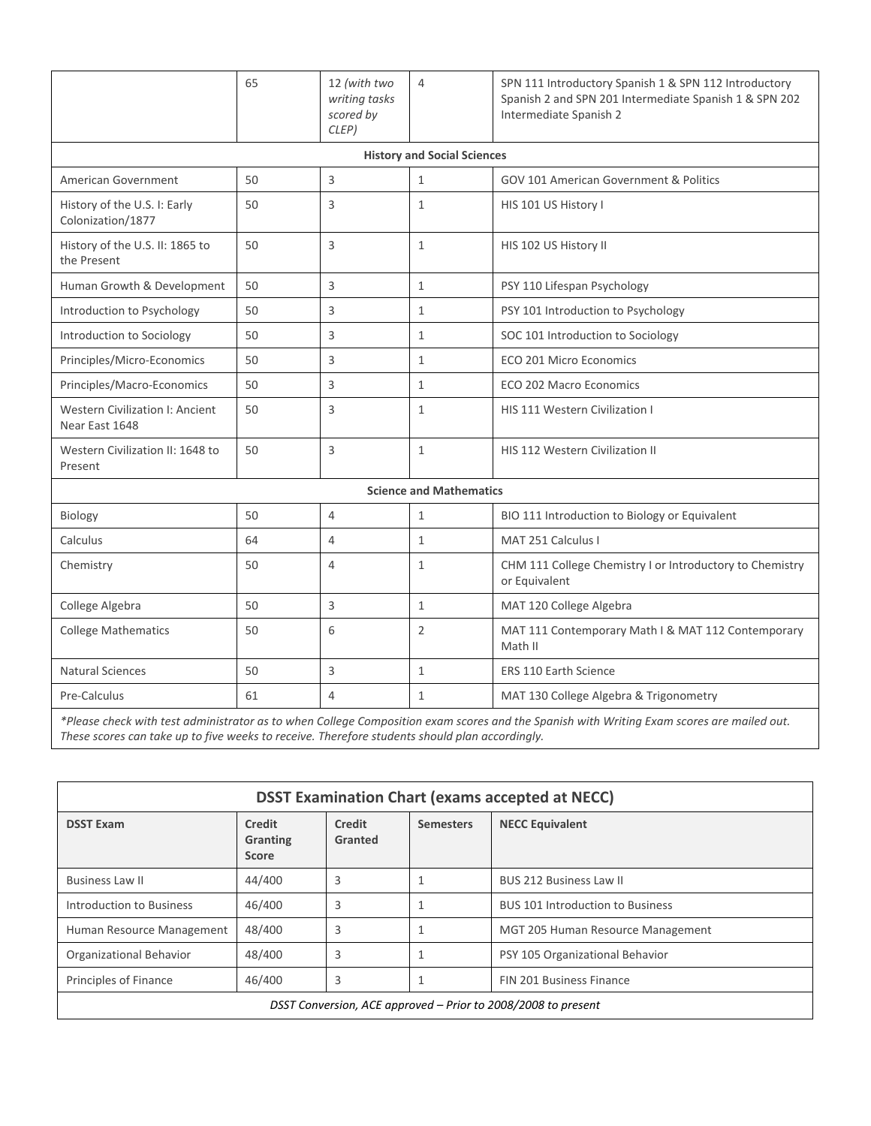|                                                                                                                                       | 65 | 12 (with two<br>writing tasks<br>scored by<br>CLEP) | $\overline{4}$                     | SPN 111 Introductory Spanish 1 & SPN 112 Introductory<br>Spanish 2 and SPN 201 Intermediate Spanish 1 & SPN 202<br>Intermediate Spanish 2 |  |  |
|---------------------------------------------------------------------------------------------------------------------------------------|----|-----------------------------------------------------|------------------------------------|-------------------------------------------------------------------------------------------------------------------------------------------|--|--|
|                                                                                                                                       |    |                                                     | <b>History and Social Sciences</b> |                                                                                                                                           |  |  |
| <b>American Government</b>                                                                                                            | 50 | 3                                                   | $\mathbf{1}$                       | <b>GOV 101 American Government &amp; Politics</b>                                                                                         |  |  |
| History of the U.S. I: Early<br>Colonization/1877                                                                                     | 50 | 3                                                   | $\mathbf{1}$                       | HIS 101 US History I                                                                                                                      |  |  |
| History of the U.S. II: 1865 to<br>the Present                                                                                        | 50 | 3                                                   | $\mathbf{1}$                       | HIS 102 US History II                                                                                                                     |  |  |
| Human Growth & Development                                                                                                            | 50 | 3                                                   | $\mathbf{1}$                       | PSY 110 Lifespan Psychology                                                                                                               |  |  |
| Introduction to Psychology                                                                                                            | 50 | 3                                                   | $\mathbf{1}$                       | PSY 101 Introduction to Psychology                                                                                                        |  |  |
| Introduction to Sociology                                                                                                             | 50 | 3                                                   | $\mathbf{1}$                       | SOC 101 Introduction to Sociology                                                                                                         |  |  |
| Principles/Micro-Economics                                                                                                            | 50 | 3                                                   | $\mathbf{1}$                       | <b>ECO 201 Micro Economics</b>                                                                                                            |  |  |
| Principles/Macro-Economics                                                                                                            | 50 | 3                                                   | $\mathbf{1}$                       | ECO 202 Macro Economics                                                                                                                   |  |  |
| <b>Western Civilization I: Ancient</b><br>Near East 1648                                                                              | 50 | 3                                                   | $\mathbf{1}$                       | HIS 111 Western Civilization I                                                                                                            |  |  |
| Western Civilization II: 1648 to<br>Present                                                                                           | 50 | 3                                                   | $\mathbf 1$                        | <b>HIS 112 Western Civilization II</b>                                                                                                    |  |  |
| <b>Science and Mathematics</b>                                                                                                        |    |                                                     |                                    |                                                                                                                                           |  |  |
| Biology                                                                                                                               | 50 | $\overline{4}$                                      | $\mathbf{1}$                       | BIO 111 Introduction to Biology or Equivalent                                                                                             |  |  |
| Calculus                                                                                                                              | 64 | 4                                                   | $\mathbf{1}$                       | MAT 251 Calculus I                                                                                                                        |  |  |
| Chemistry                                                                                                                             | 50 | $\overline{4}$                                      | $\mathbf{1}$                       | CHM 111 College Chemistry I or Introductory to Chemistry<br>or Equivalent                                                                 |  |  |
| College Algebra                                                                                                                       | 50 | 3                                                   | $\mathbf{1}$                       | MAT 120 College Algebra                                                                                                                   |  |  |
| <b>College Mathematics</b>                                                                                                            | 50 | 6                                                   | $\overline{2}$                     | MAT 111 Contemporary Math I & MAT 112 Contemporary<br>Math II                                                                             |  |  |
| <b>Natural Sciences</b>                                                                                                               | 50 | 3                                                   | $\mathbf{1}$                       | ERS 110 Earth Science                                                                                                                     |  |  |
| Pre-Calculus                                                                                                                          | 61 | $\overline{4}$                                      | $\mathbf{1}$                       | MAT 130 College Algebra & Trigonometry                                                                                                    |  |  |
| * Dlagge shaduuth had sduidichedas sabe whan Callage Campacities awas agains would be Counteb with Multipe Fuero agains was maded and |    |                                                     |                                    |                                                                                                                                           |  |  |

*\*Please check with test administrator as to when College Composition exam scores and the Spanish with Writing Exam scores are mailed out. These scores can take up to five weeks to receive. Therefore students should plan accordingly.* 

| <b>DSST Examination Chart (exams accepted at NECC)</b>        |                                           |                   |                  |                                         |  |  |
|---------------------------------------------------------------|-------------------------------------------|-------------------|------------------|-----------------------------------------|--|--|
| <b>DSST Exam</b>                                              | <b>Credit</b><br>Granting<br><b>Score</b> | Credit<br>Granted | <b>Semesters</b> | <b>NECC Equivalent</b>                  |  |  |
| <b>Business Law II</b>                                        | 44/400                                    | 3                 |                  | <b>BUS 212 Business Law II</b>          |  |  |
| <b>Introduction to Business</b>                               | 46/400                                    | 3                 |                  | <b>BUS 101 Introduction to Business</b> |  |  |
| Human Resource Management                                     | 48/400                                    | 3                 |                  | MGT 205 Human Resource Management       |  |  |
| Organizational Behavior                                       | 48/400                                    | 3                 |                  | PSY 105 Organizational Behavior         |  |  |
| Principles of Finance                                         | 46/400                                    | 3                 |                  | <b>FIN 201 Business Finance</b>         |  |  |
| DSST Conversion, ACE approved - Prior to 2008/2008 to present |                                           |                   |                  |                                         |  |  |